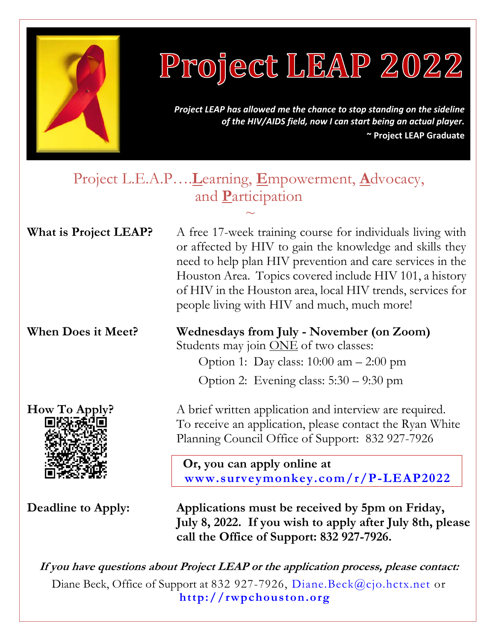

## Project LEAP 2022

*Project LEAP has allowed me the chance to stop standing on the sideline of the HIV/AIDS field, now I can start being an actual player.* **~ Project LEAP Graduate**

## Project L.E.A.P….**L**earning, **E**mpowerment, **A**dvocacy, and **P**articipation

 $\sim$ 

| What is Project LEAP? | A free 17-week training course for individuals living with |
|-----------------------|------------------------------------------------------------|
|                       | or affected by HIV to gain the knowledge and skills they   |
|                       | need to help plan HIV prevention and care services in the  |
|                       | Houston Area. Topics covered include HIV 101, a history    |
|                       | of HIV in the Houston area, local HIV trends, services for |
|                       | people living with HIV and much, much more!                |
|                       |                                                            |

**When Does it Meet? Wednesdays from July - November (on Zoom)** Students may join **ONE** of two classes: Option 1: Day class: 10:00 am – 2:00 pm Option 2: Evening class: 5:30 – 9:30 pm

**How To Apply?** A brief written application and interview are required. To receive an application, please contact the Ryan White Planning Council Office of Support: 832 927-7926

> **Or, you can apply online at www.surveymonkey.com/r/P-LEAP2022**

**Deadline to Apply: Applications must be received by 5pm on Friday, July 8, 2022. If you wish to apply after July 8th, please call the Office of Support: 832 927-7926.** 

**If you have questions about Project LEAP or the application process, please contact:** 

Diane Beck, Office of Support at 832 927-7926, Diane.Beck@cjo.hctx.net or **http://rwpchouston.org**